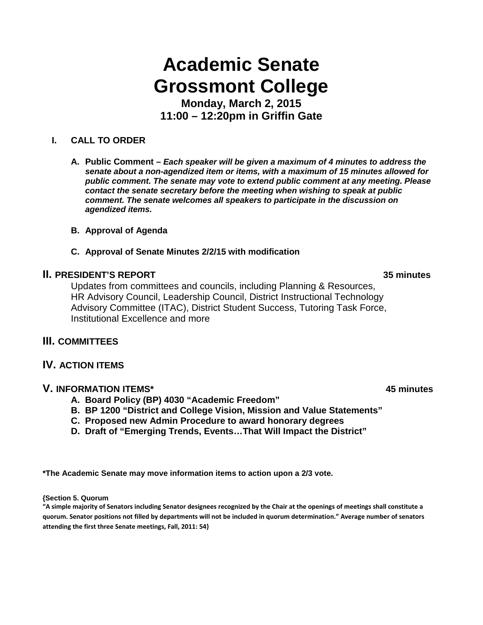# **Academic Senate Grossmont College**

**Monday, March 2, 2015 11:00 – 12:20pm in Griffin Gate**

#### **I. CALL TO ORDER**

**A. Public Comment –** *Each speaker will be given a maximum of 4 minutes to address the senate about a non-agendized item or items, with a maximum of 15 minutes allowed for public comment. The senate may vote to extend public comment at any meeting. Please contact the senate secretary before the meeting when wishing to speak at public comment. The senate welcomes all speakers to participate in the discussion on agendized items.*

- **B. Approval of Agenda**
- **C. Approval of Senate Minutes 2/2/15 with modification**

### **II. PRESIDENT'S REPORT 35 minutes**

Updates from committees and councils, including Planning & Resources, HR Advisory Council, Leadership Council, District Instructional Technology Advisory Committee (ITAC), District Student Success, Tutoring Task Force, Institutional Excellence and more

#### **III. COMMITTEES**

#### **IV. ACTION ITEMS**

#### **V. INFORMATION ITEMS\* 45 minutes**

- **A. Board Policy (BP) 4030 "Academic Freedom"**
- **B. BP 1200 "District and College Vision, Mission and Value Statements"**
- **C. Proposed new Admin Procedure to award honorary degrees**
- **D. Draft of "Emerging Trends, Events…That Will Impact the District"**

**\*The Academic Senate may move information items to action upon a 2/3 vote.**

**{Section 5. Quorum**

**"A simple majority of Senators including Senator designees recognized by the Chair at the openings of meetings shall constitute a quorum. Senator positions not filled by departments will not be included in quorum determination." Average number of senators attending the first three Senate meetings, Fall, 2011: 54}**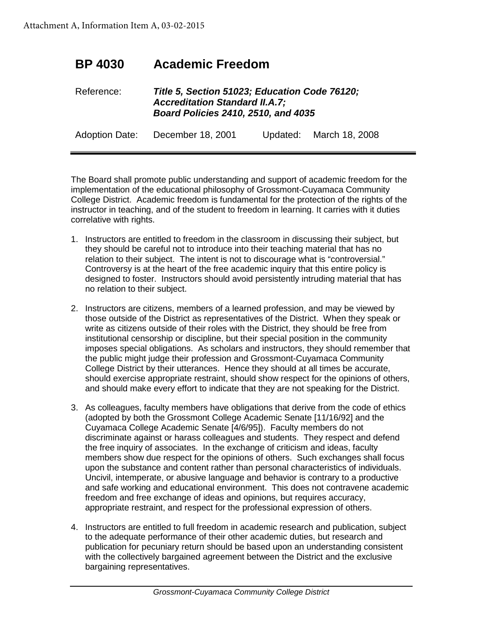## **BP 4030 Academic Freedom**

### Reference: *Title 5, Section 51023; Education Code 76120; Accreditation Standard II.A.7; Board Policies 2410, 2510, and 4035*

Adoption Date: December 18, 2001 Updated: March 18, 2008

The Board shall promote public understanding and support of academic freedom for the implementation of the educational philosophy of Grossmont-Cuyamaca Community College District. Academic freedom is fundamental for the protection of the rights of the instructor in teaching, and of the student to freedom in learning. It carries with it duties correlative with rights.

- 1. Instructors are entitled to freedom in the classroom in discussing their subject, but they should be careful not to introduce into their teaching material that has no relation to their subject. The intent is not to discourage what is "controversial." Controversy is at the heart of the free academic inquiry that this entire policy is designed to foster. Instructors should avoid persistently intruding material that has no relation to their subject.
- 2. Instructors are citizens, members of a learned profession, and may be viewed by those outside of the District as representatives of the District. When they speak or write as citizens outside of their roles with the District, they should be free from institutional censorship or discipline, but their special position in the community imposes special obligations. As scholars and instructors, they should remember that the public might judge their profession and Grossmont-Cuyamaca Community College District by their utterances. Hence they should at all times be accurate, should exercise appropriate restraint, should show respect for the opinions of others, and should make every effort to indicate that they are not speaking for the District.
- 3. As colleagues, faculty members have obligations that derive from the code of ethics (adopted by both the Grossmont College Academic Senate [11/16/92] and the Cuyamaca College Academic Senate [4/6/95]). Faculty members do not discriminate against or harass colleagues and students. They respect and defend the free inquiry of associates. In the exchange of criticism and ideas, faculty members show due respect for the opinions of others. Such exchanges shall focus upon the substance and content rather than personal characteristics of individuals. Uncivil, intemperate, or abusive language and behavior is contrary to a productive and safe working and educational environment. This does not contravene academic freedom and free exchange of ideas and opinions, but requires accuracy, appropriate restraint, and respect for the professional expression of others.
- 4. Instructors are entitled to full freedom in academic research and publication, subject to the adequate performance of their other academic duties, but research and publication for pecuniary return should be based upon an understanding consistent with the collectively bargained agreement between the District and the exclusive bargaining representatives.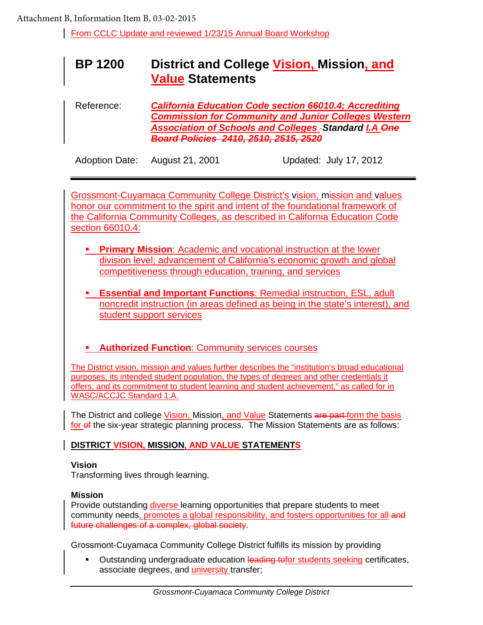From CCLC Update and reviewed 1/23/15 Annual Board Workshop

## **BP 1200 District and College Vision, Mission, and Value Statements**

Reference: *California Education Code section 66010.4; Accrediting Commission for Community and Junior Colleges Western Association of Schools and Colleges Standard I.A One Board Policies 2410, 2510, 2515, 2520*

Adoption Date: August 21, 2001 Updated: July 17, 2012

Grossmont-Cuyamaca Community College District's vision, mission and values honor our commitment to the spirit and intent of the foundational framework of the California Community Colleges, as described in California Education Code section 66010.4:

- **Primary Mission**: Academic and vocational instruction at the lower division level; advancement of California's economic growth and global competitiveness through education, training, and services
- **Essential and Important Functions**: Remedial instruction, ESL, adult noncredit instruction (in areas defined as being in the state's interest), and student support services
- **Authorized Function: Community services courses**

The District vision, mission and values further describes the "institution's broad educational purposes, its intended student population, the types of degrees and other credentials it offers, and its commitment to student learning and student achievement," as called for in WASC/ACCJC Standard 1.A.

The District and college Vision, Mission, and Value Statements are part form the basis for of the six-year strategic planning process. The Mission Statements are as follows:

#### **DISTRICT VISION, MISSION, AND VALUE STATEMENTS**

#### **Vision**

Transforming lives through learning.

#### **Mission**

Provide outstanding diverse learning opportunities that prepare students to meet community needs, promotes a global responsibility, and fosters opportunities for all-and future challenges of a complex, global society.

Grossmont-Cuyamaca Community College District fulfills its mission by providing

Outstanding undergraduate education leading tofor students seeking certificates, associate degrees, and university transfer;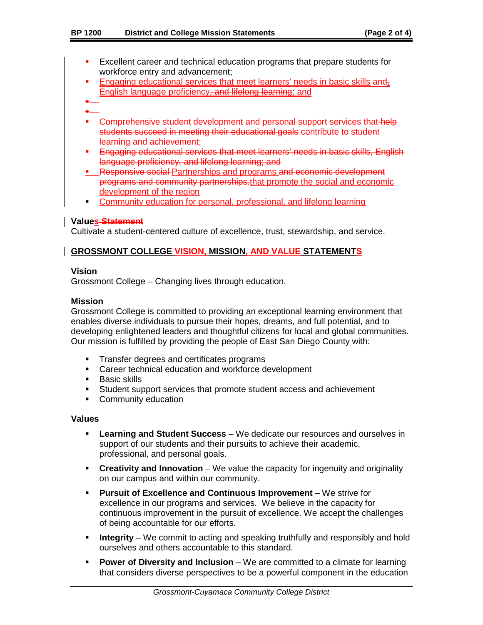- **Excellent career and technical education programs that prepare students for** workforce entry and advancement;
- **Engaging educational services that meet learners' needs in basic skills and-**English language proficiency, and lifelong learning; and
- ٠ a.
- Comprehensive student development and personal support services that help students succeed in meeting their educational goals contribute to student learning and achievement;
- **Engaging educational services that meet learners' needs in basic skills, English** language proficiency, and lifelong learning; and
- **Responsive social Partnerships and programs and economic development** programs and community partnerships.that promote the social and economic development of the region
- **Community education for personal, professional, and lifelong learning**

#### **Values Statement**

Cultivate a student-centered culture of excellence, trust, stewardship, and service.

#### **GROSSMONT COLLEGE VISION, MISSION, AND VALUE STATEMENTS**

#### **Vision**

Grossmont College – Changing lives through education.

#### **Mission**

Grossmont College is committed to providing an exceptional learning environment that enables diverse individuals to pursue their hopes, dreams, and full potential, and to developing enlightened leaders and thoughtful citizens for local and global communities. Our mission is fulfilled by providing the people of East San Diego County with:

- **Transfer degrees and certificates programs**
- **EXEC** Career technical education and workforce development
- **Basic skills**
- Student support services that promote student access and achievement
- **Community education**

#### **Values**

- **Learning and Student Success** We dedicate our resources and ourselves in support of our students and their pursuits to achieve their academic, professional, and personal goals.
- **Creativity and Innovation** We value the capacity for ingenuity and originality on our campus and within our community.
- **Pursuit of Excellence and Continuous Improvement** We strive for excellence in our programs and services. We believe in the capacity for continuous improvement in the pursuit of excellence. We accept the challenges of being accountable for our efforts.
- **Integrity** We commit to acting and speaking truthfully and responsibly and hold ourselves and others accountable to this standard.
- **Power of Diversity and Inclusion** We are committed to a climate for learning that considers diverse perspectives to be a powerful component in the education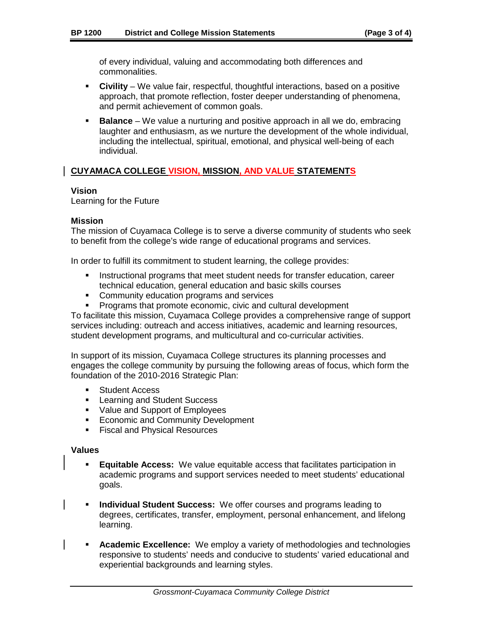of every individual, valuing and accommodating both differences and commonalities.

- **Civility** We value fair, respectful, thoughtful interactions, based on a positive approach, that promote reflection, foster deeper understanding of phenomena, and permit achievement of common goals.
- **Balance** We value a nurturing and positive approach in all we do, embracing laughter and enthusiasm, as we nurture the development of the whole individual, including the intellectual, spiritual, emotional, and physical well-being of each individual.

#### **CUYAMACA COLLEGE VISION, MISSION, AND VALUE STATEMENTS**

#### **Vision**

Learning for the Future

#### **Mission**

The mission of Cuyamaca College is to serve a diverse community of students who seek to benefit from the college's wide range of educational programs and services.

In order to fulfill its commitment to student learning, the college provides:

- **Instructional programs that meet student needs for transfer education, career** technical education, general education and basic skills courses
- **Community education programs and services**<br>**Programs that promote economic, civic and current**
- Programs that promote economic, civic and cultural development

To facilitate this mission, Cuyamaca College provides a comprehensive range of support services including: outreach and access initiatives, academic and learning resources, student development programs, and multicultural and co-curricular activities.

In support of its mission, Cuyamaca College structures its planning processes and engages the college community by pursuing the following areas of focus, which form the foundation of the 2010-2016 Strategic Plan:

- **Student Access**
- **Learning and Student Success**
- Value and Support of Employees
- **Economic and Community Development**
- **Fiscal and Physical Resources**

#### **Values**

- **Equitable Access:**We value equitable access that facilitates participation in academic programs and support services needed to meet students' educational goals.
- **Individual Student Success:**We offer courses and programs leading to degrees, certificates, transfer, employment, personal enhancement, and lifelong learning.
- **Academic Excellence:**We employ a variety of methodologies and technologies responsive to students' needs and conducive to students' varied educational and experiential backgrounds and learning styles.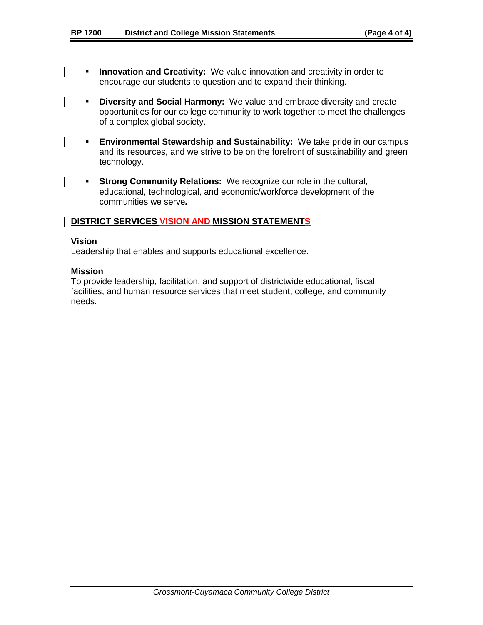- **Innovation and Creativity:** We value innovation and creativity in order to encourage our students to question and to expand their thinking.
- **Diversity and Social Harmony:**We value and embrace diversity and create opportunities for our college community to work together to meet the challenges of a complex global society.
- **Environmental Stewardship and Sustainability:** We take pride in our campus and its resources, and we strive to be on the forefront of sustainability and green technology.
- **Strong Community Relations:** We recognize our role in the cultural, educational, technological, and economic/workforce development of the communities we serve*.*

#### **DISTRICT SERVICES VISION AND MISSION STATEMENTS**

#### **Vision**

Leadership that enables and supports educational excellence.

#### **Mission**

To provide leadership, facilitation, and support of districtwide educational, fiscal, facilities, and human resource services that meet student, college, and community needs.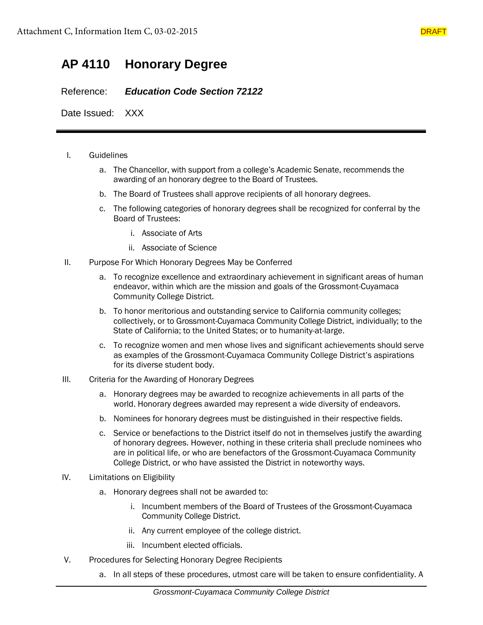## **AP 4110 Honorary Degree**

Reference: *Education Code Section 72122*

Date Issued: XXX

#### I. Guidelines

- a. The Chancellor, with support from a college's Academic Senate, recommends the awarding of an honorary degree to the Board of Trustees.
- b. The Board of Trustees shall approve recipients of all honorary degrees.
- c. The following categories of honorary degrees shall be recognized for conferral by the Board of Trustees:
	- i. Associate of Arts
	- ii. Associate of Science
- II. Purpose For Which Honorary Degrees May be Conferred
	- a. To recognize excellence and extraordinary achievement in significant areas of human endeavor, within which are the mission and goals of the Grossmont-Cuyamaca Community College District.
	- b. To honor meritorious and outstanding service to California community colleges; collectively, or to Grossmont-Cuyamaca Community College District, individually; to the State of California; to the United States; or to humanity-at-large.
	- c. To recognize women and men whose lives and significant achievements should serve as examples of the Grossmont-Cuyamaca Community College District's aspirations for its diverse student body.
- III. Criteria for the Awarding of Honorary Degrees
	- a. Honorary degrees may be awarded to recognize achievements in all parts of the world. Honorary degrees awarded may represent a wide diversity of endeavors.
	- b. Nominees for honorary degrees must be distinguished in their respective fields.
	- c. Service or benefactions to the District itself do not in themselves justify the awarding of honorary degrees. However, nothing in these criteria shall preclude nominees who are in political life, or who are benefactors of the Grossmont-Cuyamaca Community College District, or who have assisted the District in noteworthy ways.
- IV. Limitations on Eligibility
	- a. Honorary degrees shall not be awarded to:
		- i. Incumbent members of the Board of Trustees of the Grossmont-Cuyamaca Community College District.
		- ii. Any current employee of the college district.
		- iii. Incumbent elected officials.
- V. Procedures for Selecting Honorary Degree Recipients
	- a. In all steps of these procedures, utmost care will be taken to ensure confidentiality. A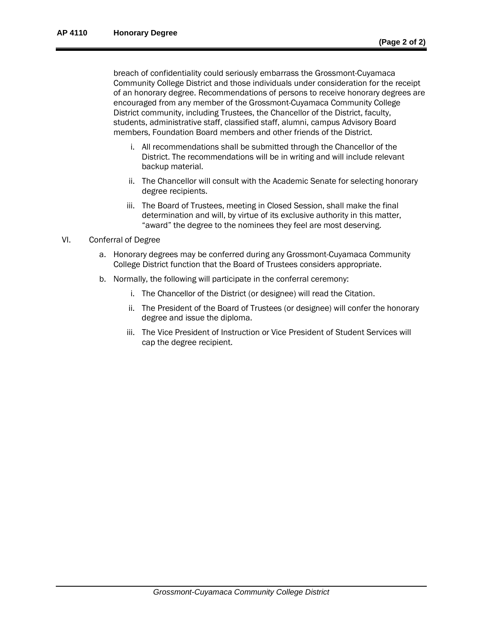breach of confidentiality could seriously embarrass the Grossmont-Cuyamaca Community College District and those individuals under consideration for the receipt of an honorary degree. Recommendations of persons to receive honorary degrees are encouraged from any member of the Grossmont-Cuyamaca Community College District community, including Trustees, the Chancellor of the District, faculty, students, administrative staff, classified staff, alumni, campus Advisory Board members, Foundation Board members and other friends of the District.

- i. All recommendations shall be submitted through the Chancellor of the District. The recommendations will be in writing and will include relevant backup material.
- ii. The Chancellor will consult with the Academic Senate for selecting honorary degree recipients.
- iii. The Board of Trustees, meeting in Closed Session, shall make the final determination and will, by virtue of its exclusive authority in this matter, "award" the degree to the nominees they feel are most deserving.

#### VI. Conferral of Degree

- a. Honorary degrees may be conferred during any Grossmont-Cuyamaca Community College District function that the Board of Trustees considers appropriate.
- b. Normally, the following will participate in the conferral ceremony:
	- i. The Chancellor of the District (or designee) will read the Citation.
	- ii. The President of the Board of Trustees (or designee) will confer the honorary degree and issue the diploma.
	- iii. The Vice President of Instruction or Vice President of Student Services will cap the degree recipient.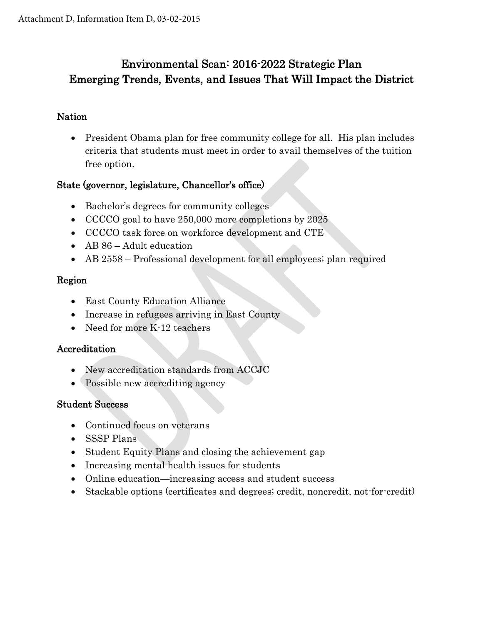## Environmental Scan: 2016-2022 Strategic Plan Emerging Trends, Events, and Issues That Will Impact the District

## Nation

• President Obama plan for free community college for all. His plan includes criteria that students must meet in order to avail themselves of the tuition free option.

## State (governor, legislature, Chancellor's office)

- Bachelor's degrees for community colleges
- CCCCO goal to have 250,000 more completions by 2025
- CCCCO task force on workforce development and CTE
- AB 86 Adult education
- AB 2558 Professional development for all employees; plan required

## Region

- East County Education Alliance
- Increase in refugees arriving in East County
- Need for more K-12 teachers

### Accreditation

- New accreditation standards from ACCJC
- Possible new accrediting agency

### Student Success

- Continued focus on veterans
- SSSP Plans
- Student Equity Plans and closing the achievement gap
- Increasing mental health issues for students
- Online education—increasing access and student success
- Stackable options (certificates and degrees; credit, noncredit, not-for-credit)